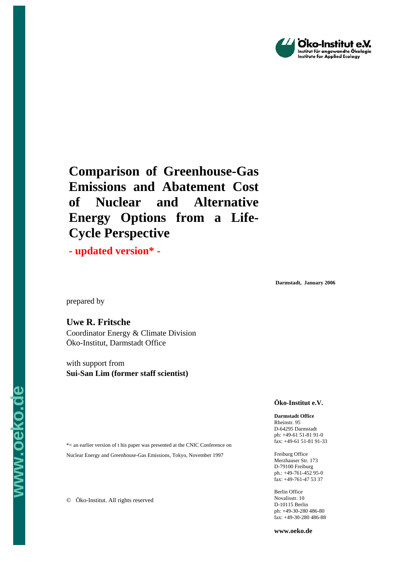

# **Comparison of Greenhouse-Gas Emissions and Abatement Cost of Nuclear and Alternative Energy Options from a Life-Cycle Perspective**

**- updated version\* -**

**Darmstadt, January 2006** 

prepared by

**www.oeko.de**

WW.Oeko.d

**Uwe R. Fritsche** 

Coordinator Energy & Climate Division Öko-Institut, Darmstadt Office

with support from **Sui-San Lim (former staff scientist)**

**Öko-Institut e.V.** 

**Darmstadt Office**  Rheinstr. 95 D-64295 Darmstadt ph: +49-61 51-81 91-0 fax: +49-61 51-81 91-33

Freiburg Office Merzhauser Str. 173 D-79100 Freiburg ph.: +49-761-452 95-0  $\int \text{fax}: +49-761-475337$ 

Berlin Office Novalisstr. 10 D-10115 Berlin ph: +49-30-280 486-80 fax: +49-30-280 486-88

\*= an earlier version of t his paper was presented at the CNIC Conference on Nuclear Energy and Greenhouse-Gas Emissions, Tokyo, November 1997

© Öko-Institut. All rights reserved

**www.oeko.de**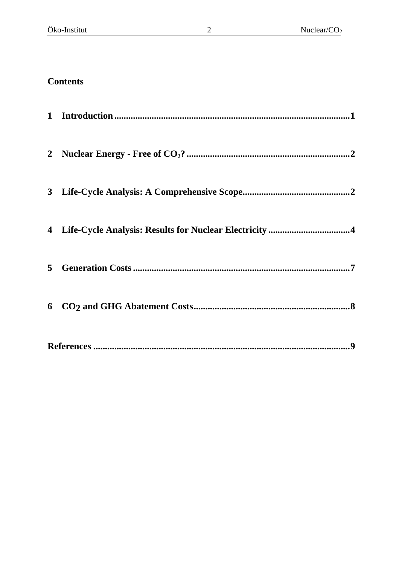## **Contents**

| 5 |  |
|---|--|
|   |  |
|   |  |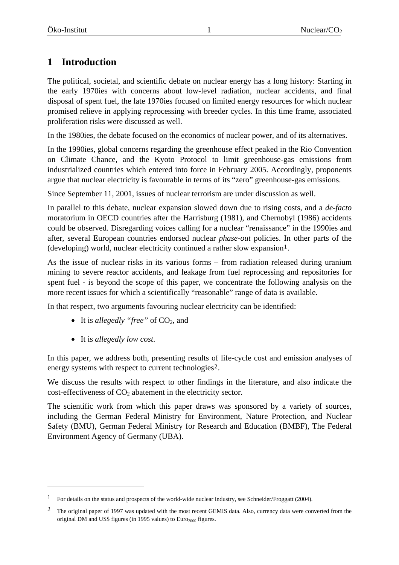### <span id="page-2-0"></span>**1 Introduction**

The political, societal, and scientific debate on nuclear energy has a long history: Starting in the early 1970ies with concerns about low-level radiation, nuclear accidents, and final disposal of spent fuel, the late 1970ies focused on limited energy resources for which nuclear promised relieve in applying reprocessing with breeder cycles. In this time frame, associated proliferation risks were discussed as well.

In the 1980ies, the debate focused on the economics of nuclear power, and of its alternatives.

In the 1990ies, global concerns regarding the greenhouse effect peaked in the Rio Convention on Climate Chance, and the Kyoto Protocol to limit greenhouse-gas emissions from industrialized countries which entered into force in February 2005. Accordingly, proponents argue that nuclear electricity is favourable in terms of its "zero" greenhouse-gas emissions.

Since September 11, 2001, issues of nuclear terrorism are under discussion as well.

In parallel to this debate, nuclear expansion slowed down due to rising costs, and a *de-facto* moratorium in OECD countries after the Harrisburg (1981), and Chernobyl (1986) accidents could be observed. Disregarding voices calling for a nuclear "renaissance" in the 1990ies and after, several European countries endorsed nuclear *phase-out* policies. In other parts of the (developing) world, nuclear electricity continued a rather slow expansion<sup>[1](#page-2-0)</sup>.

As the issue of nuclear risks in its various forms – from radiation released during uranium mining to severe reactor accidents, and leakage from fuel reprocessing and repositories for spent fuel - is beyond the scope of this paper, we concentrate the following analysis on the more recent issues for which a scientifically "reasonable" range of data is available.

In that respect, two arguments favouring nuclear electricity can be identified:

- It is *allegedly "free"* of CO<sub>2</sub>, and
- It is *allegedly low cost*.

1

In this paper, we address both, presenting results of life-cycle cost and emission analyses of energy systems with respect to current technologies<sup>[2](#page-2-0)</sup>.

We discuss the results with respect to other findings in the literature, and also indicate the  $\cos$ -effectiveness of  $CO<sub>2</sub>$  abatement in the electricity sector.

The scientific work from which this paper draws was sponsored by a variety of sources, including the German Federal Ministry for Environment, Nature Protection, and Nuclear Safety (BMU), German Federal Ministry for Research and Education (BMBF), The Federal Environment Agency of Germany (UBA).

<sup>&</sup>lt;sup>1</sup> For details on the status and prospects of the world-wide nuclear industry, see Schneider/Froggatt (2004).

<sup>&</sup>lt;sup>2</sup> The original paper of 1997 was updated with the most recent GEMIS data. Also, currency data were converted from the original DM and US\$ figures (in 1995 values) to  $Euro<sub>2000</sub>$  figures.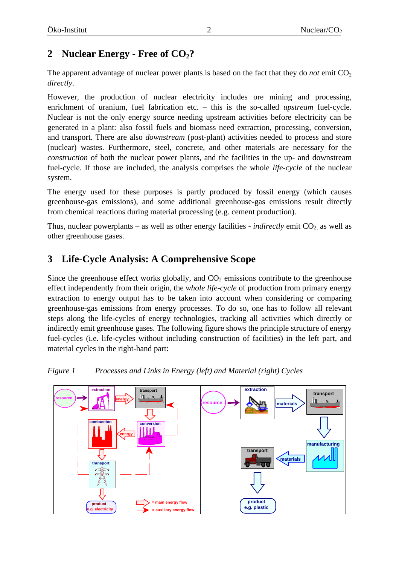### <span id="page-3-0"></span>2 **Nuclear Energy - Free of CO<sub>2</sub>?**

The apparent advantage of nuclear power plants is based on the fact that they do *not* emit  $CO<sub>2</sub>$ *directly*.

However, the production of nuclear electricity includes ore mining and processing, enrichment of uranium, fuel fabrication etc. – this is the so-called *upstream* fuel-cycle. Nuclear is not the only energy source needing upstream activities before electricity can be generated in a plant: also fossil fuels and biomass need extraction, processing, conversion, and transport. There are also *downstream* (post-plant) activities needed to process and store (nuclear) wastes. Furthermore, steel, concrete, and other materials are necessary for the *construction* of both the nuclear power plants, and the facilities in the up- and downstream fuel-cycle. If those are included, the analysis comprises the whole *life-cycle* of the nuclear system.

The energy used for these purposes is partly produced by fossil energy (which causes greenhouse-gas emissions), and some additional greenhouse-gas emissions result directly from chemical reactions during material processing (e.g. cement production).

Thus, nuclear powerplants – as well as other energy facilities - *indirectly* emit  $CO_2$  as well as other greenhouse gases.

### **3 Life-Cycle Analysis: A Comprehensive Scope**

Since the greenhouse effect works globally, and  $CO<sub>2</sub>$  emissions contribute to the greenhouse effect independently from their origin, the *whole life-cycle* of production from primary energy extraction to energy output has to be taken into account when considering or comparing greenhouse-gas emissions from energy processes. To do so, one has to follow all relevant steps along the life-cycles of energy technologies, tracking all activities which directly or indirectly emit greenhouse gases. The following figure shows the principle structure of energy fuel-cycles (i.e. life-cycles without including construction of facilities) in the left part, and material cycles in the right-hand part:



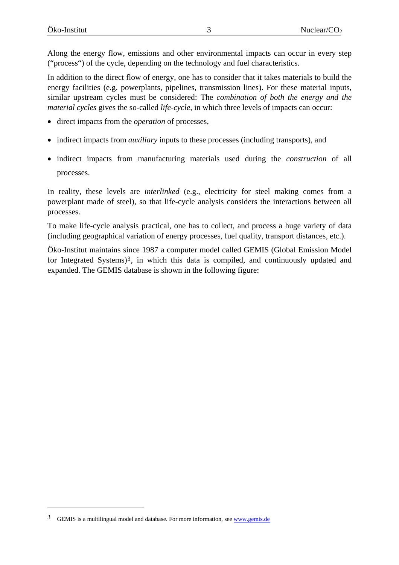<span id="page-4-0"></span>Along the energy flow, emissions and other environmental impacts can occur in every step ("process") of the cycle, depending on the technology and fuel characteristics.

In addition to the direct flow of energy, one has to consider that it takes materials to build the energy facilities (e.g. powerplants, pipelines, transmission lines). For these material inputs, similar upstream cycles must be considered: The *combination of both the energy and the material cycles* gives the so-called *life-cycle*, in which three levels of impacts can occur:

- direct impacts from the *operation* of processes,
- indirect impacts from *auxiliary* inputs to these processes (including transports), and
- indirect impacts from manufacturing materials used during the *construction* of all processes.

In reality, these levels are *interlinked* (e.g., electricity for steel making comes from a powerplant made of steel), so that life-cycle analysis considers the interactions between all processes.

To make life-cycle analysis practical, one has to collect, and process a huge variety of data (including geographical variation of energy processes, fuel quality, transport distances, etc.).

Öko-Institut maintains since 1987 a computer model called GEMIS (Global Emission Model for Integrated Systems)<sup>[3](#page-4-0)</sup>, in which this data is compiled, and continuously updated and expanded. The GEMIS database is shown in the following figure:

1

<sup>3</sup> GEMIS is a multilingual model and database. For more information, see [www.gemis.de](http://www.gemis.de/)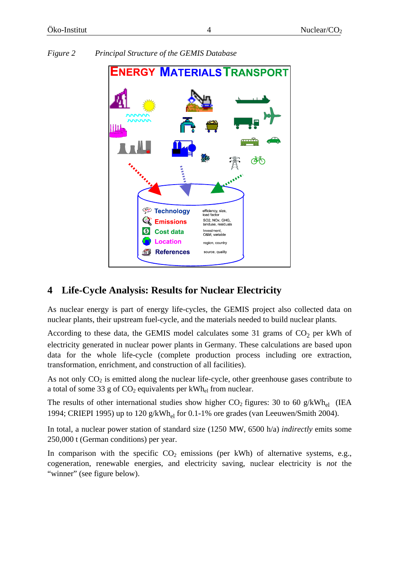

#### <span id="page-5-0"></span>*Figure 2 Principal Structure of the GEMIS Database*

### **4 Life-Cycle Analysis: Results for Nuclear Electricity**

As nuclear energy is part of energy life-cycles, the GEMIS project also collected data on nuclear plants, their upstream fuel-cycle, and the materials needed to build nuclear plants.

According to these data, the GEMIS model calculates some 31 grams of  $CO<sub>2</sub>$  per kWh of electricity generated in nuclear power plants in Germany. These calculations are based upon data for the whole life-cycle (complete production process including ore extraction, transformation, enrichment, and construction of all facilities).

As not only  $CO<sub>2</sub>$  is emitted along the nuclear life-cycle, other greenhouse gases contribute to a total of some 33 g of  $CO_2$  equivalents per kWh<sub>el</sub> from nuclear.

The results of other international studies show higher  $CO_2$  figures: 30 to 60 g/kWh<sub>el</sub> (IEA 1994; CRIEPI 1995) up to 120 g/kWh<sub>el</sub> for 0.1-1% ore grades (van Leeuwen/Smith 2004).

In total, a nuclear power station of standard size (1250 MW, 6500 h/a) *indirectly* emits some 250,000 t (German conditions) per year.

In comparison with the specific  $CO<sub>2</sub>$  emissions (per kWh) of alternative systems, e.g., cogeneration, renewable energies, and electricity saving, nuclear electricity is *not* the "winner" (see figure below).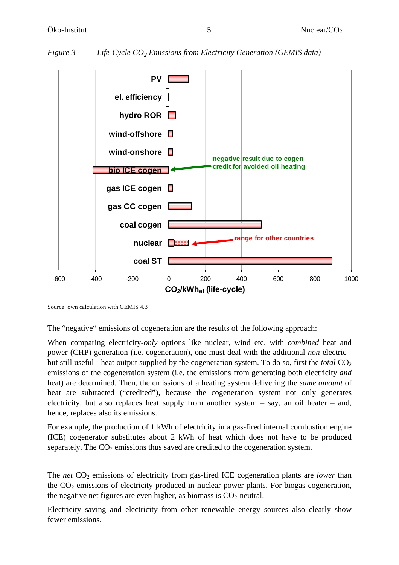

#### *Figure 3 Life-Cycle CO<sub>2</sub> Emissions from Electricity Generation (GEMIS data)*

Source: own calculation with GEMIS 4.3

The "negative" emissions of cogeneration are the results of the following approach:

When comparing electricity-*only* options like nuclear, wind etc. with *combined* heat and power (CHP) generation (i.e. cogeneration), one must deal with the additional *non*-electric but still useful - heat output supplied by the cogeneration system. To do so, first the *total* CO<sub>2</sub> emissions of the cogeneration system (i.e. the emissions from generating both electricity *and* heat) are determined. Then, the emissions of a heating system delivering the *same amount* of heat are subtracted ("credited"), because the cogeneration system not only generates electricity, but also replaces heat supply from another system – say, an oil heater – and, hence, replaces also its emissions.

For example, the production of 1 kWh of electricity in a gas-fired internal combustion engine (ICE) cogenerator substitutes about 2 kWh of heat which does not have to be produced separately. The  $CO<sub>2</sub>$  emissions thus saved are credited to the cogeneration system.

The *net* CO<sub>2</sub> emissions of electricity from gas-fired ICE cogeneration plants are *lower* than the  $CO<sub>2</sub>$  emissions of electricity produced in nuclear power plants. For biogas cogeneration, the negative net figures are even higher, as biomass is  $CO<sub>2</sub>$ -neutral.

Electricity saving and electricity from other renewable energy sources also clearly show fewer emissions.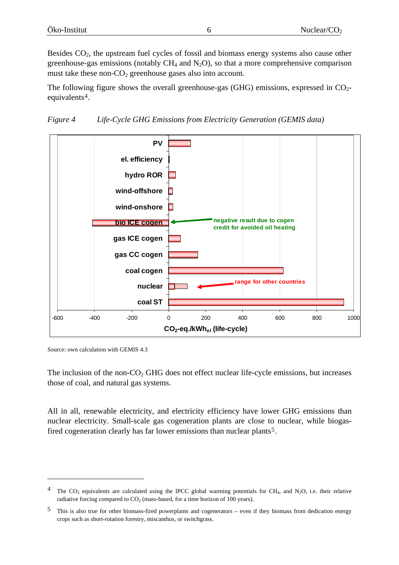<span id="page-7-0"></span>Besides  $CO<sub>2</sub>$ , the upstream fuel cycles of fossil and biomass energy systems also cause other greenhouse-gas emissions (notably  $CH_4$  and  $N_2O$ ), so that a more comprehensive comparison must take these non- $CO<sub>2</sub>$  greenhouse gases also into account.

The following figure shows the overall greenhouse-gas (GHG) emissions, expressed in  $CO<sub>2</sub>$ equivalents[4](#page-7-0).





Source: own calculation with GEMIS 4.3

1

The inclusion of the non- $CO<sub>2</sub>$  GHG does not effect nuclear life-cycle emissions, but increases those of coal, and natural gas systems.

All in all, renewable electricity, and electricity efficiency have lower GHG emissions than nuclear electricity. Small-scale gas cogeneration plants are close to nuclear, while biogas-fired cogeneration clearly has far lower emissions than nuclear plants<sup>[5](#page-7-0)</sup>.

<sup>&</sup>lt;sup>4</sup> The CO<sub>2</sub> equivalents are calculated using the IPCC global warming potentials for CH<sub>4</sub>, and N<sub>2</sub>O, i.e. their relative radiative forcing compared to  $CO<sub>2</sub>$  (mass-based, for a time horizon of 100 years).

<sup>5</sup> This is also true for other biomass-fired powerplants and cogenerators – even if they biomass from dedication energy crops such as short-rotation forestry, miscanthus, or switchgrass.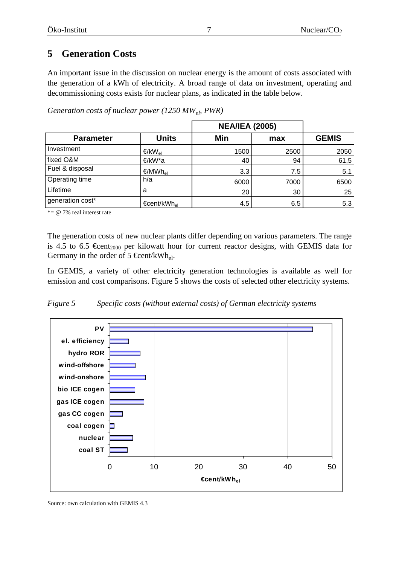### <span id="page-8-0"></span>**5 Generation Costs**

An important issue in the discussion on nuclear energy is the amount of costs associated with the generation of a kWh of electricity. A broad range of data on investment, operating and decommissioning costs exists for nuclear plans, as indicated in the table below.

|                  |                         | <b>NEA/IEA (2005)</b> |      |              |
|------------------|-------------------------|-----------------------|------|--------------|
| <b>Parameter</b> | <b>Units</b>            | Min                   | max  | <b>GEMIS</b> |
| Investment       | €/k $W_{el}$            | 1500                  | 2500 | 2050         |
| fixed O&M        | €/kW*a                  | 40                    | 94   | 61,5         |
| Fuel & disposal  | €/MWh <sub>el</sub>     | 3.3                   | 7.5  | 5.1          |
| Operating time   | h/a                     | 6000                  | 7000 | 6500         |
| Lifetime         | a                       | 20                    | 30   | 25           |
| generation cost* | €cent/kWh <sub>el</sub> | 4.5                   | 6.5  | 5.3          |

*Generation costs of nuclear power (1250 MW<sub>eb</sub>, PWR)* 

 $* = \omega$  7% real interest rate

The generation costs of new nuclear plants differ depending on various parameters. The range is 4.5 to 6.5  $\oplus$  ent<sub>2000</sub> per kilowatt hour for current reactor designs, with GEMIS data for Germany in the order of 5  $\oplus$  ent/kWh<sub>el</sub>.

In GEMIS, a variety of other electricity generation technologies is available as well for emission and cost comparisons. Figure 5 shows the costs of selected other electricity systems.





Source: own calculation with GEMIS 4.3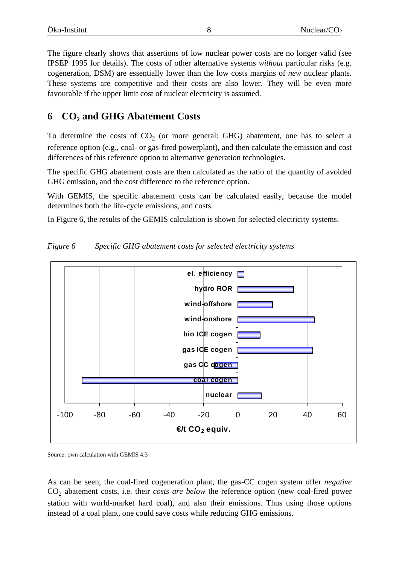<span id="page-9-0"></span>The figure clearly shows that assertions of low nuclear power costs are no longer valid (see IPSEP 1995 for details). The costs of other alternative systems *without* particular risks (e.g. cogeneration, DSM) are essentially lower than the low costs margins of *new* nuclear plants. These systems are competitive and their costs are also lower. They will be even more favourable if the upper limit cost of nuclear electricity is assumed.

### **6 CO2 and GHG Abatement Costs**

To determine the costs of  $CO<sub>2</sub>$  (or more general: GHG) abatement, one has to select a reference option (e.g., coal- or gas-fired powerplant), and then calculate the emission and cost differences of this reference option to alternative generation technologies.

The specific GHG abatement costs are then calculated as the ratio of the quantity of avoided GHG emission, and the cost difference to the reference option.

With GEMIS, the specific abatement costs can be calculated easily, because the model determines both the life-cycle emissions, and costs.

In Figure 6, the results of the GEMIS calculation is shown for selected electricity systems.



*Figure 6 Specific GHG abatement costs for selected electricity systems* 

Source: own calculation with GEMIS 4.3

As can be seen, the coal-fired cogeneration plant, the gas-CC cogen system offer *negative* CO<sub>2</sub> abatement costs, i.e. their *costs are below* the reference option (new coal-fired power station with world-market hard coal), and also their emissions. Thus using those options instead of a coal plant, one could save costs while reducing GHG emissions.